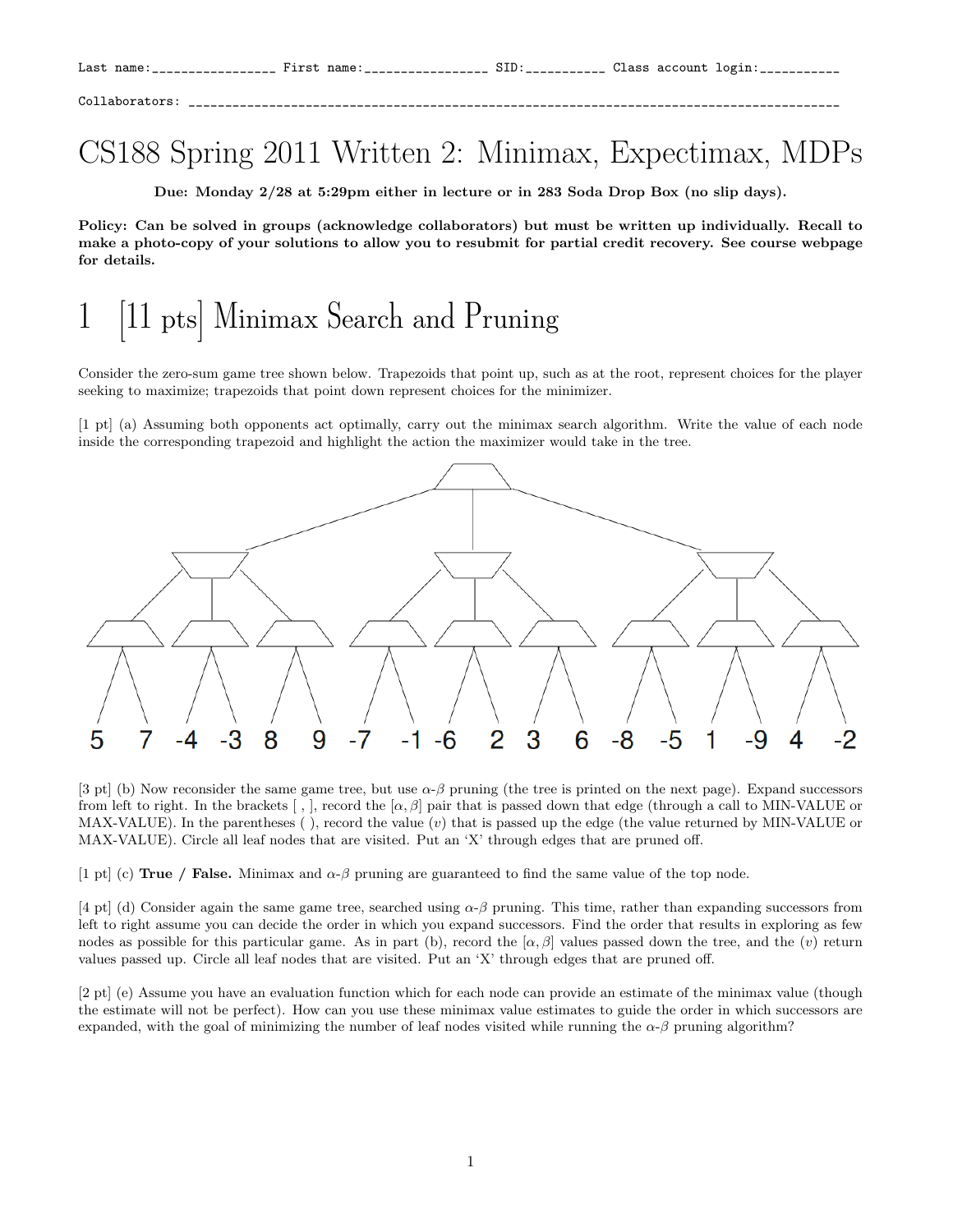Collaborators: \_\_\_\_\_\_\_\_\_\_\_\_\_\_\_\_\_\_\_\_\_\_\_\_\_\_\_\_\_\_\_\_\_\_\_\_\_\_\_\_\_\_\_\_\_\_\_\_\_\_\_\_\_\_\_\_\_\_\_\_\_\_\_\_\_\_\_\_\_\_\_\_\_\_\_\_\_\_\_\_\_\_\_\_\_\_\_\_\_

#### CS188 Spring 2011 Written 2: Minimax, Expectimax, MDPs

Due: Monday 2/28 at 5:29pm either in lecture or in 283 Soda Drop Box (no slip days).

Policy: Can be solved in groups (acknowledge collaborators) but must be written up individually. Recall to make a photo-copy of your solutions to allow you to resubmit for partial credit recovery. See course webpage for details.

## |11 pts| Minimax Search and Pruning

Consider the zero-sum game tree shown below. Trapezoids that point up, such as at the root, represent choices for the player seeking to maximize; trapezoids that point down represent choices for the minimizer.

[1 pt] (a) Assuming both opponents act optimally, carry out the minimax search algorithm. Write the value of each node inside the corresponding trapezoid and highlight the action the maximizer would take in the tree.



[3 pt] (b) Now reconsider the same game tree, but use  $\alpha$ - $\beta$  pruning (the tree is printed on the next page). Expand successors from left to right. In the brackets  $[ , ]$ , record the  $[ \alpha, \beta ]$  pair that is passed down that edge (through a call to MIN-VALUE or  $MAX-VALUE$ ). In the parentheses (), record the value (v) that is passed up the edge (the value returned by MIN-VALUE or MAX-VALUE). Circle all leaf nodes that are visited. Put an 'X' through edges that are pruned off.

[1 pt] (c) True / False. Minimax and  $\alpha$ - $\beta$  pruning are guaranteed to find the same value of the top node.

[4 pt] (d) Consider again the same game tree, searched using  $\alpha-\beta$  pruning. This time, rather than expanding successors from left to right assume you can decide the order in which you expand successors. Find the order that results in exploring as few nodes as possible for this particular game. As in part (b), record the  $[\alpha, \beta]$  values passed down the tree, and the (v) return values passed up. Circle all leaf nodes that are visited. Put an 'X' through edges that are pruned off.

[2 pt] (e) Assume you have an evaluation function which for each node can provide an estimate of the minimax value (though the estimate will not be perfect). How can you use these minimax value estimates to guide the order in which successors are expanded, with the goal of minimizing the number of leaf nodes visited while running the  $\alpha-\beta$  pruning algorithm?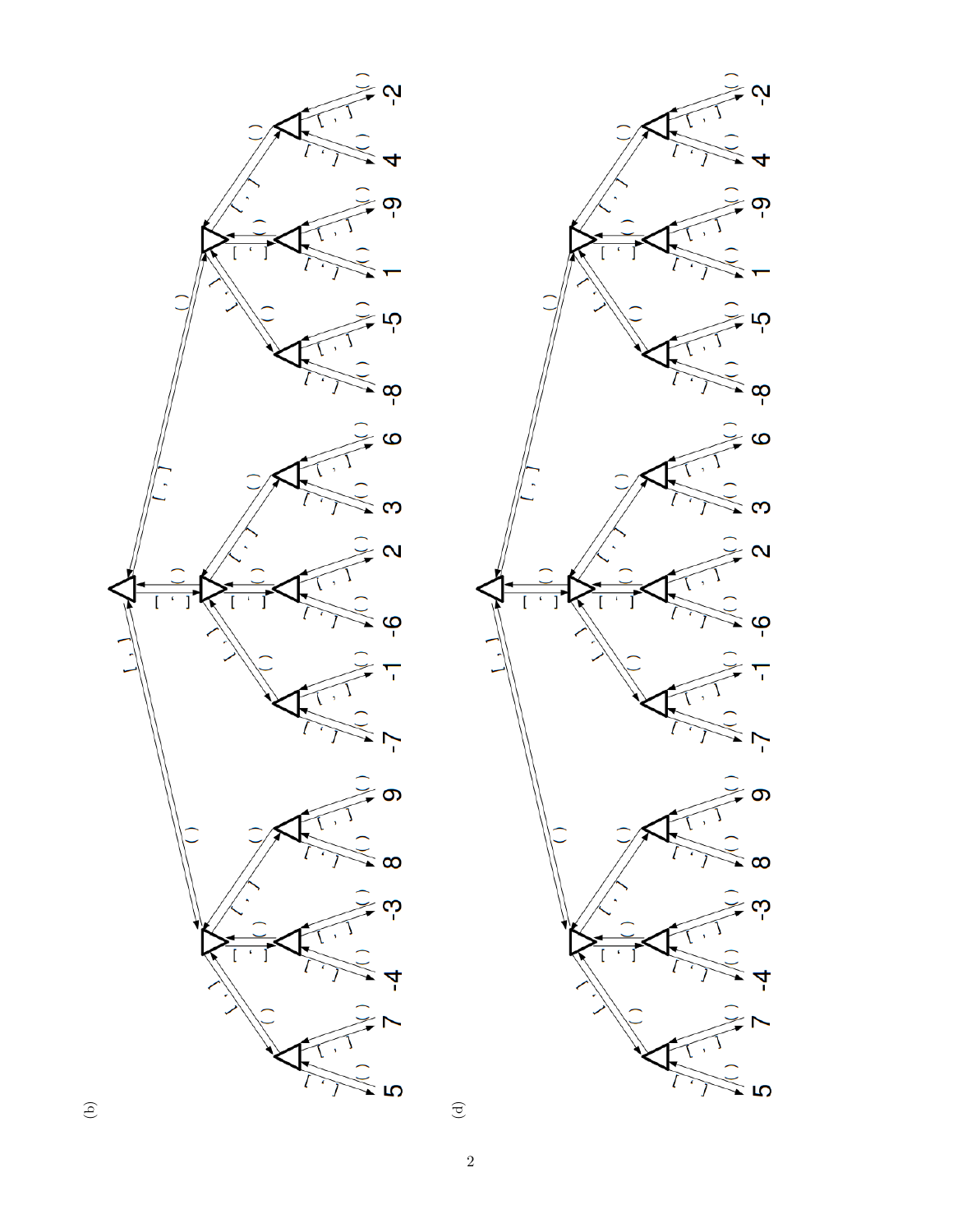



 $\begin{array}{c} \begin{array}{c} \end{array} \end{array}$ 

 $\sqrt{2}$ 

 $\bigoplus$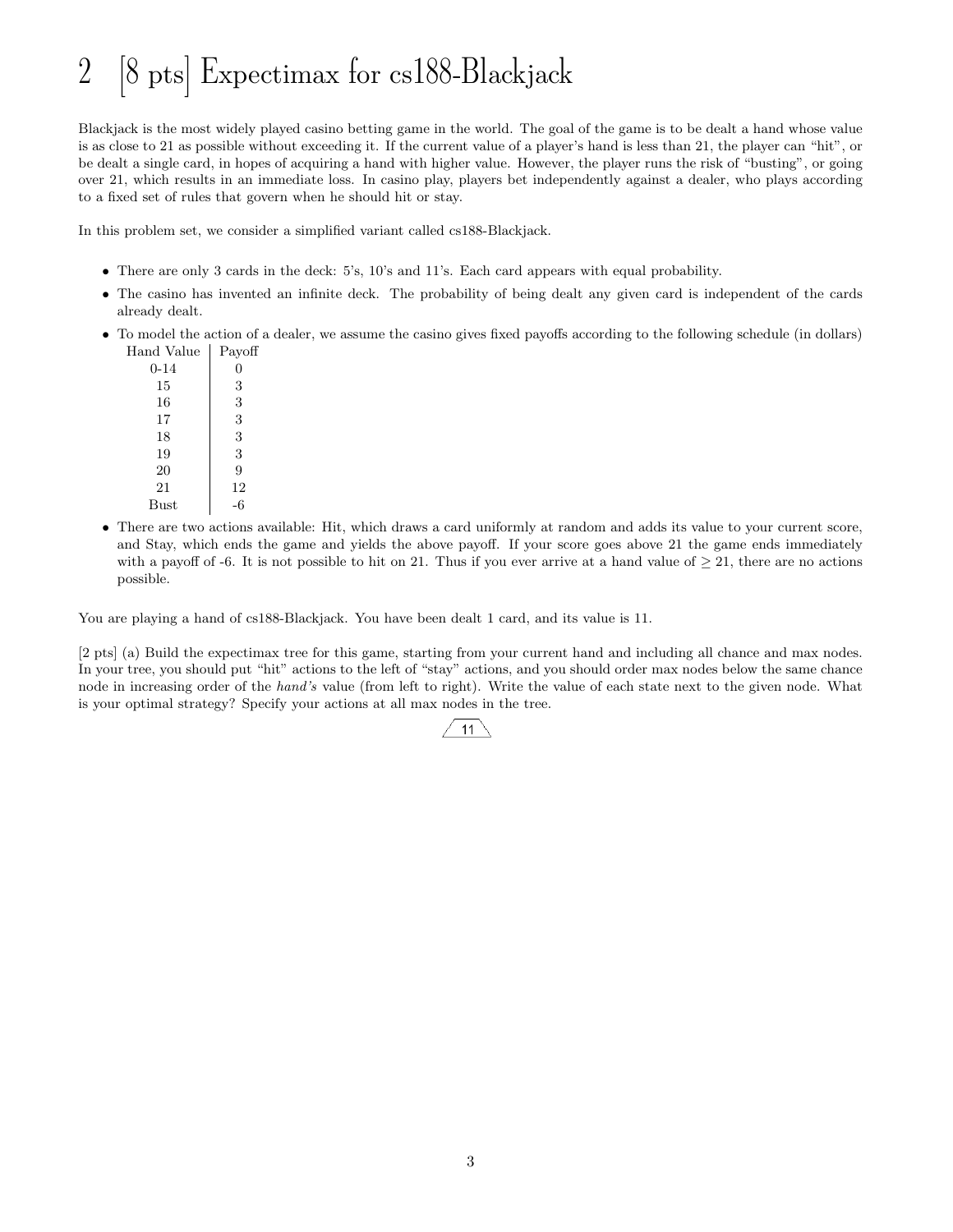# 2 [8 pts] Expectimax for cs188-Blackjack

Blackjack is the most widely played casino betting game in the world. The goal of the game is to be dealt a hand whose value is as close to 21 as possible without exceeding it. If the current value of a player's hand is less than 21, the player can "hit", or be dealt a single card, in hopes of acquiring a hand with higher value. However, the player runs the risk of "busting", or going over 21, which results in an immediate loss. In casino play, players bet independently against a dealer, who plays according to a fixed set of rules that govern when he should hit or stay.

In this problem set, we consider a simplified variant called cs188-Blackjack.

- There are only 3 cards in the deck: 5's, 10's and 11's. Each card appears with equal probability.
- The casino has invented an infinite deck. The probability of being dealt any given card is independent of the cards already dealt.
- To model the action of a dealer, we assume the casino gives fixed payoffs according to the following schedule (in dollars) Hand Value Payoff

| $0 - 14$       | 0  |
|----------------|----|
| 15             | 3  |
| 16             | 3  |
| 17             | 3  |
| 18             | 3  |
| 19             | 3  |
| 20             | 9  |
| 21             | 12 |
| $_{\rm{Bust}}$ | -6 |
|                |    |

• There are two actions available: Hit, which draws a card uniformly at random and adds its value to your current score, and Stay, which ends the game and yields the above payoff. If your score goes above 21 the game ends immediately with a payoff of -6. It is not possible to hit on 21. Thus if you ever arrive at a hand value of  $\geq 21$ , there are no actions possible.

You are playing a hand of cs188-Blackjack. You have been dealt 1 card, and its value is 11.

[2 pts] (a) Build the expectimax tree for this game, starting from your current hand and including all chance and max nodes. In your tree, you should put "hit" actions to the left of "stay" actions, and you should order max nodes below the same chance node in increasing order of the hand's value (from left to right). Write the value of each state next to the given node. What is your optimal strategy? Specify your actions at all max nodes in the tree.

#### $11$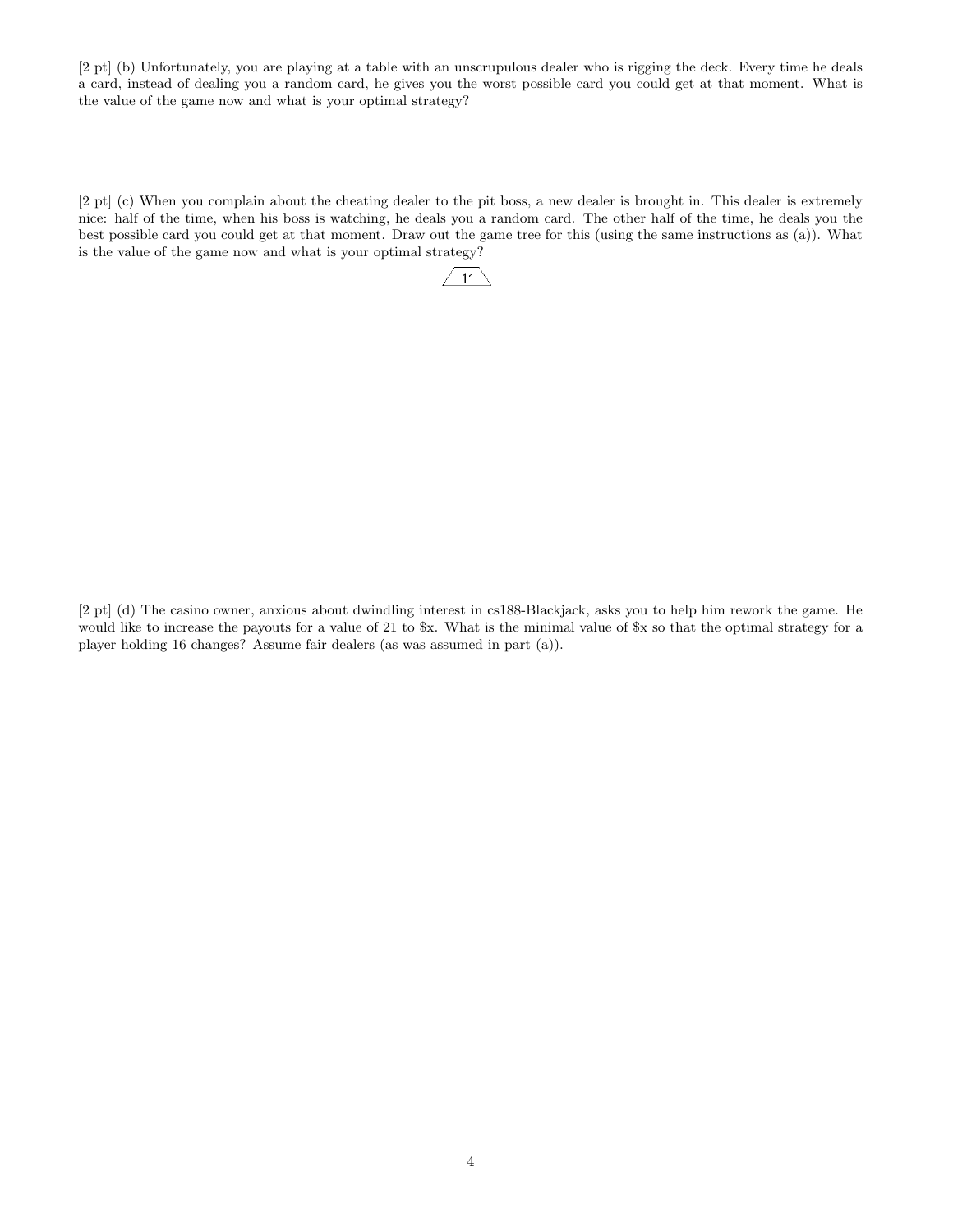[2 pt] (b) Unfortunately, you are playing at a table with an unscrupulous dealer who is rigging the deck. Every time he deals a card, instead of dealing you a random card, he gives you the worst possible card you could get at that moment. What is the value of the game now and what is your optimal strategy?

[2 pt] (c) When you complain about the cheating dealer to the pit boss, a new dealer is brought in. This dealer is extremely nice: half of the time, when his boss is watching, he deals you a random card. The other half of the time, he deals you the best possible card you could get at that moment. Draw out the game tree for this (using the same instructions as (a)). What is the value of the game now and what is your optimal strategy?



[2 pt] (d) The casino owner, anxious about dwindling interest in cs188-Blackjack, asks you to help him rework the game. He would like to increase the payouts for a value of 21 to \$x. What is the minimal value of \$x so that the optimal strategy for a player holding 16 changes? Assume fair dealers (as was assumed in part (a)).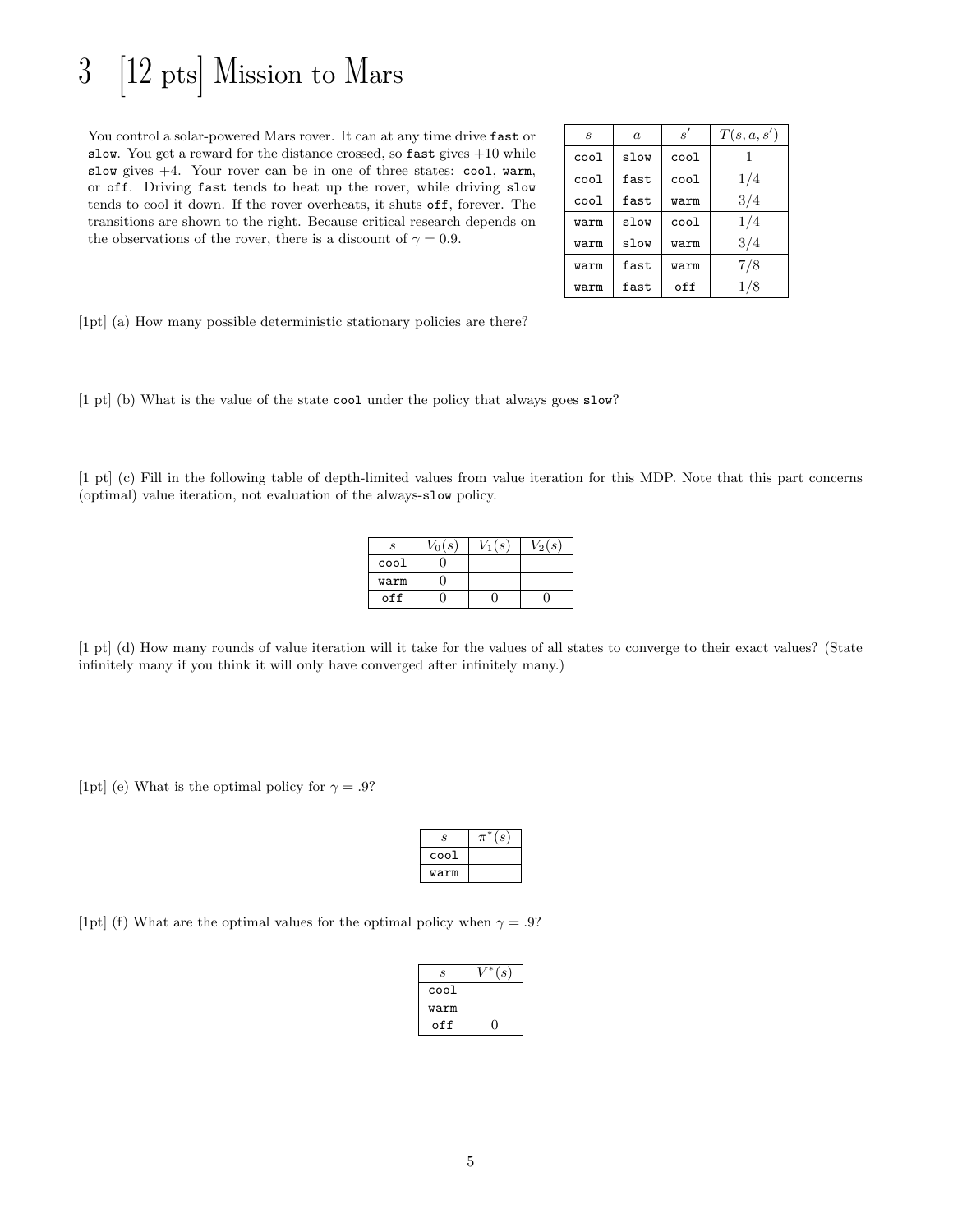### 3 [12 pts] Mission to Mars

You control a solar-powered Mars rover. It can at any time drive fast or slow. You get a reward for the distance crossed, so  $\texttt{fast}$  gives  $+10$  while slow gives  $+4$ . Your rover can be in one of three states: cool, warm, or off. Driving fast tends to heat up the rover, while driving slow tends to cool it down. If the rover overheats, it shuts off, forever. The transitions are shown to the right. Because critical research depends on the observations of the rover, there is a discount of  $\gamma = 0.9$ .

| $\mathcal{S}_{0}$ | $\alpha$ | s'   | T(s, a, s') |
|-------------------|----------|------|-------------|
| $_{\rm cool}$     | slow     | cool |             |
| cool              | fast     | cool | 1/4         |
| cool              | fast     | warm | 3/4         |
| warm              | slow     | cool | 1/4         |
| warm              | slow     | warm | 3/4         |
| warm              | fast     | warm | 7/8         |
| warm              | fast     | off  | 1/8         |

[1pt] (a) How many possible deterministic stationary policies are there?

[1 pt] (b) What is the value of the state cool under the policy that always goes slow?

[1 pt] (c) Fill in the following table of depth-limited values from value iteration for this MDP. Note that this part concerns (optimal) value iteration, not evaluation of the always-slow policy.

| S    | $V_0(s)$ | $V_1(s)$ | $V_2(s)$ |
|------|----------|----------|----------|
| cool |          |          |          |
| warm |          |          |          |
| off  |          |          |          |

[1 pt] (d) How many rounds of value iteration will it take for the values of all states to converge to their exact values? (State infinitely many if you think it will only have converged after infinitely many.)

[1pt] (e) What is the optimal policy for  $\gamma = .9$ ?

| S    | $\mathcal{S}_{\mathcal{S}}$ |
|------|-----------------------------|
| cool |                             |
| warm |                             |

[1pt] (f) What are the optimal values for the optimal policy when  $\gamma = .9$ ?

| S    | $^{\prime}s$ |
|------|--------------|
| cool |              |
| warm |              |
| off  |              |